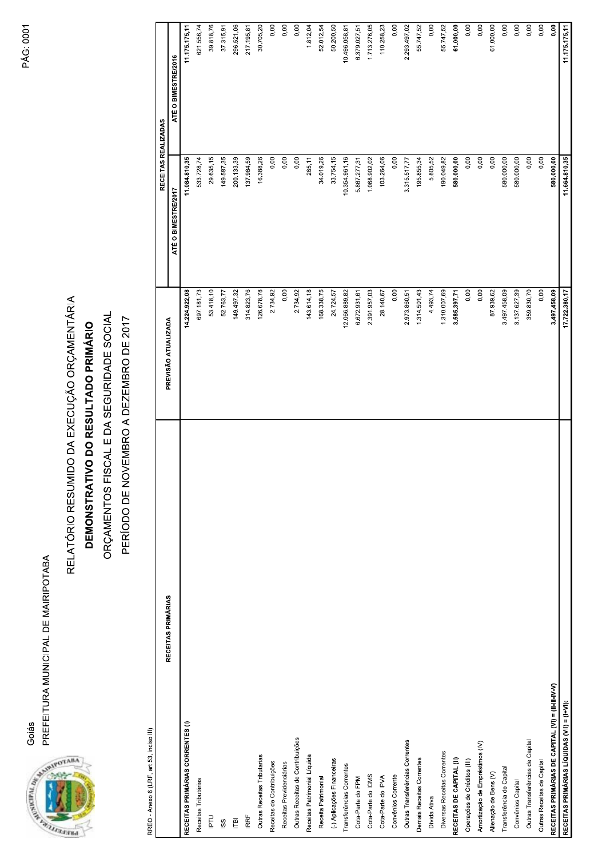PREFEITURA MUNICIPAL DE MAIRIPOTABA Goiás



## RELATÓRIO RESUMIDO DA EXECUÇÃO ORÇAMENTÁRIA

## DEMONSTRATIVO DO RESULTADO PRIMÁRIO

ORÇAMENTOS FISCAL E DA SEGURIDADE SOCIAL

PERÍODO DE NOVEMBRO A DEZEMBRO DE 2017

RRFO - Anexo 6 (I RF, art 53, inciso III)

| RECEITAS PRIMÁRIAS                                 | PREVISÃO ATUALIZADA | RECEITAS REALIZADAS |                     |
|----------------------------------------------------|---------------------|---------------------|---------------------|
|                                                    |                     | ATÉ O BIMESTRE/2017 | ATÉ O BIMESTRE/2016 |
| RECEITAS PRIMÁRIAS CORRENTES (I)                   | 14.224.922,08       | 11.084.810,35       | 11.175.175,11       |
| Receitas Tributárias                               | 697.181,73          | 533.728,74          | 621.556,74          |
| <b>PTU</b>                                         | 53.418,10           | 29.635,15           | 39.818,76           |
| SS                                                 | 52.763,77           | 149.587,35          | 37.315,91           |
| $\overline{\mathbb{P}}$                            | 149.497,32          | 200.133,39          | 296.521,06          |
| <b>IRRF</b>                                        | 314.823,76          | 137.984,59          | 217.195,81          |
| Outras Receitas Tributarias                        | 126.678,78          | 16.388,26           | 30.705,20           |
| Receitas de Contribuições                          | 2.734,92            | 0,00                | 0,00                |
| Receitas Previdenciárias                           | 0,00                | 0,00                | 0,00                |
| Outras Receitas de Contribuições                   | 2.734,92            | 0,00                | 0,00                |
| Receitas Patrimonial Líquida                       | 143.614,18          | 265,11              | 1.812,04            |
| Receita Patrimonial                                | 168.338,75          | 34.019,26           | 52.012,54           |
| (-) Aplicações Financeiras                         | 24.724,57           | 33.754,15           | 50.200,50           |
| Transferências Correntes                           | 12.066.889,82       | 10.354.961,16       | 10.496.058,81       |
| Cota-Parte do FPM                                  | 6.672.931,61        | 5.867.277,31        | 6.379.027,51        |
| Cota-Parte do ICMS                                 | 2.391.957,03        | 1.068.902,02        | 1.713.276,05        |
| Cota-Parte do IPVA                                 | 28.140,67           | 103.264,06          | 110.258,23          |
| Convênios Corrente                                 | 0,00                | 0,00                | 0,00                |
| Outras Transferências Correntes                    | 2.973.860,51        | 3.315.517,77        | 2.293.497,02        |
| Demais Receitas Correntes                          | 1.314.501,43        | 195.855,34          | 55.747,52           |
| Dívida Ativa                                       | 4.493,74            | 5.805,52            | 0,00                |
| Diversas Receitas Correntes                        | 1.310.007,69        | 190.049,82          | 55.747,52           |
| RECEITAS DE CAPITAL (II)                           | 3.585.397,71        | 580.000,00          | 61.000,00           |
| Operações de Créditos (III)                        | 0,00                | 0,00                | 0,00                |
| Amortização de Empréstimos (IV)                    | 0,00                | 0,00                | 0,00                |
| Alienação de Bens (V)                              | 87.939,62           | 0,00                | 61.000,00           |
| Transferência de Capital                           | 3.497.458,09        | 580.000,00          | 0,00                |
| Convênios Capital                                  | 3.137.627,39        | 580.000,00          | 0.00                |
| Outras Transferências de Capital                   | 359.830,70          | 0,00                | 0,00                |
| Outras Receitas de Capital                         | 0,00                | 0,00                | 0.00                |
| RECEITAS PRIMÁRIAS DE CAPITAL (VI) = (II-III-IV-V) | 3.497.458,09        | 580.000,00          | $\overline{0.00}$   |
| RECEITAS PRIMÁRIAS LÍQUIDAS (VII) = (I+VI):        | 17.722.380,17       | 11.664.810,35       | 11.175.175,11       |